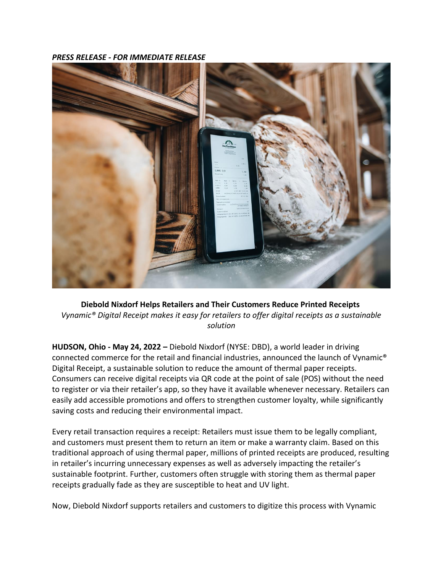*PRESS RELEASE - FOR IMMEDIATE RELEASE*



**Diebold Nixdorf Helps Retailers and Their Customers Reduce Printed Receipts** *Vynamic® Digital Receipt makes it easy for retailers to offer digital receipts as a sustainable solution*

**HUDSON, Ohio - May 24, 2022 –** Diebold Nixdorf (NYSE: DBD), a world leader in driving connected commerce for the retail and financial industries, announced the launch of Vynamic® Digital Receipt, a sustainable solution to reduce the amount of thermal paper receipts. Consumers can receive digital receipts via QR code at the point of sale (POS) without the need to register or via their retailer's app, so they have it available whenever necessary. Retailers can easily add accessible promotions and offers to strengthen customer loyalty, while significantly saving costs and reducing their environmental impact.

Every retail transaction requires a receipt: Retailers must issue them to be legally compliant, and customers must present them to return an item or make a warranty claim. Based on this traditional approach of using thermal paper, millions of printed receipts are produced, resulting in retailer's incurring unnecessary expenses as well as adversely impacting the retailer's sustainable footprint. Further, customers often struggle with storing them as thermal paper receipts gradually fade as they are susceptible to heat and UV light.

Now, Diebold Nixdorf supports retailers and customers to digitize this process with Vynamic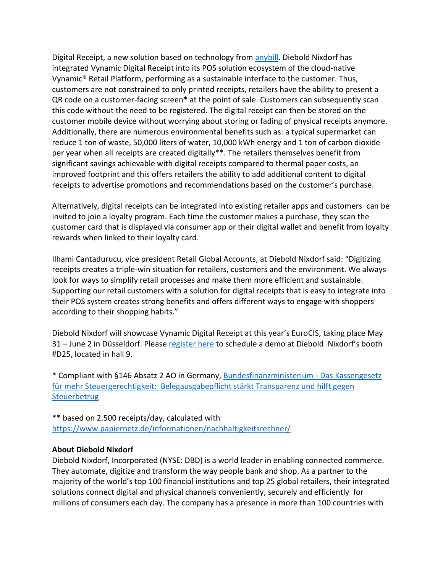Digital Receipt, a new solution based on technology from [anybill.](https://anybill.de/en) Diebold Nixdorf has integrated Vynamic Digital Receipt into its POS solution ecosystem of the cloud-native Vynamic® Retail Platform, performing as a sustainable interface to the customer. Thus, customers are not constrained to only printed receipts, retailers have the ability to present a QR code on a customer-facing screen\* at the point of sale. Customers can subsequently scan this code without the need to be registered. The digital receipt can then be stored on the customer mobile device without worrying about storing or fading of physical receipts anymore. Additionally, there are numerous environmental benefits such as: a typical supermarket can reduce 1 ton of waste, 50,000 liters of water, 10,000 kWh energy and 1 ton of carbon dioxide per year when all receipts are created digitally\*\*. The retailers themselves benefit from significant savings achievable with digital receipts compared to thermal paper costs, an improved footprint and this offers retailers the ability to add additional content to digital receipts to advertise promotions and recommendations based on the customer's purchase.

Alternatively, digital receipts can be integrated into existing retailer apps and customers can be invited to join a loyalty program. Each time the customer makes a purchase, they scan the customer card that is displayed via consumer app or their digital wallet and benefit from loyalty rewards when linked to their loyalty card.

Ilhami Cantadurucu, vice president Retail Global Accounts, at Diebold Nixdorf said: "Digitizing receipts creates a triple-win situation for retailers, customers and the environment. We always look for ways to simplify retail processes and make them more efficient and sustainable. Supporting our retail customers with a solution for digital receipts that is easy to integrate into their POS system creates strong benefits and offers different ways to engage with shoppers according to their shopping habits."

Diebold Nixdorf will showcase Vynamic Digital Receipt at this year's EuroCIS, taking place May 31 – June 2 in Düsseldorf. Please [register here](https://www.dieboldnixdorf.com/en-us/about-us/news-and-events/events/eurocis/) to schedule a demo at Diebold Nixdorf's booth #D25, located in hall 9.

\* Compliant with §146 Absatz 2 AO in Germany[, Bundesfinanzministerium -](https://www.bundesfinanzministerium.de/Content/DE/FAQ/2020-02-18-steuergerechtigkeit-belegpflicht.html) Das Kassengesetz [für mehr Steuergerechtigkeit: Belegausgabepflicht stärkt Transparenz und hilft gegen](https://www.bundesfinanzministerium.de/Content/DE/FAQ/2020-02-18-steuergerechtigkeit-belegpflicht.html)  **[Steuerbetrug](https://www.bundesfinanzministerium.de/Content/DE/FAQ/2020-02-18-steuergerechtigkeit-belegpflicht.html)** 

\*\* based on 2.500 receipts/day, calculated with <https://www.papiernetz.de/informationen/nachhaltigkeitsrechner/>

## **About Diebold Nixdorf**

Diebold Nixdorf, Incorporated (NYSE: DBD) is a world leader in enabling connected commerce. They automate, digitize and transform the way people bank and shop. As a partner to the majority of the world's top 100 financial institutions and top 25 global retailers, their integrated solutions connect digital and physical channels conveniently, securely and efficiently for millions of consumers each day. The company has a presence in more than 100 countries with